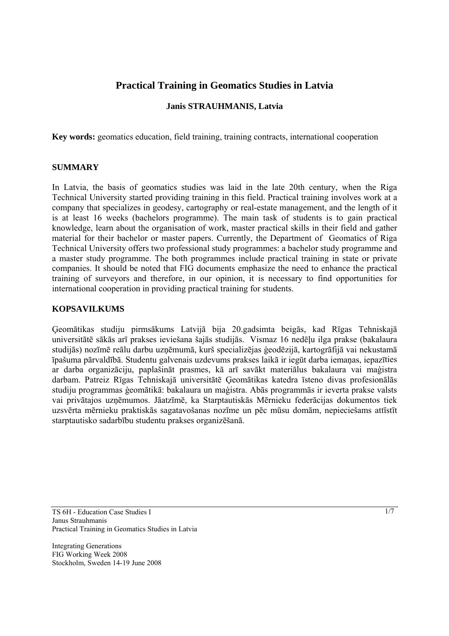# **Practical Training in Geomatics Studies in Latvia**

## **Janis STRAUHMANIS, Latvia**

**Key words:** geomatics education, field training, training contracts, international cooperation

#### **SUMMARY**

In Latvia, the basis of geomatics studies was laid in the late 20th century, when the Riga Technical University started providing training in this field. Practical training involves work at a company that specializes in geodesy, cartography or real-estate management, and the length of it is at least 16 weeks (bachelors programme). The main task of students is to gain practical knowledge, learn about the organisation of work, master practical skills in their field and gather material for their bachelor or master papers. Currently, the Department of Geomatics of Riga Technical University offers two professional study programmes: a bachelor study programme and a master study programme. The both programmes include practical training in state or private companies. It should be noted that FIG documents emphasize the need to enhance the practical training of surveyors and therefore, in our opinion, it is necessary to find opportunities for international cooperation in providing practical training for students.

## **KOPSAVILKUMS**

Ģeomātikas studiju pirmsākums Latvijā bija 20.gadsimta beigās, kad Rīgas Tehniskajā universitātē sākās arī prakses ieviešana šajās studijās. Vismaz 16 nedēļu ilga prakse (bakalaura studijās) nozīmē reālu darbu uzņēmumā, kurš specializējas ģeodēzijā, kartogrāfijā vai nekustamā īpašuma pārvaldībā. Studentu galvenais uzdevums prakses laikā ir iegūt darba iemaņas, iepazīties ar darba organizāciju, paplašināt prasmes, kā arī savākt materiālus bakalaura vai maģistra darbam. Patreiz Rīgas Tehniskajā universitātē Ģeomātikas katedra īsteno divas profesionālās studiju programmas ģeomātikā: bakalaura un maģistra. Abās programmās ir ieverta prakse valsts vai privātajos uzņēmumos. Jāatzīmē, ka Starptautiskās Mērnieku federācijas dokumentos tiek uzsvērta mērnieku praktiskās sagatavošanas nozīme un pēc mūsu domām, nepieciešams attīstīt starptautisko sadarbību studentu prakses organizēšanā.

Integrating Generations FIG Working Week 2008 Stockholm, Sweden 14-19 June 2008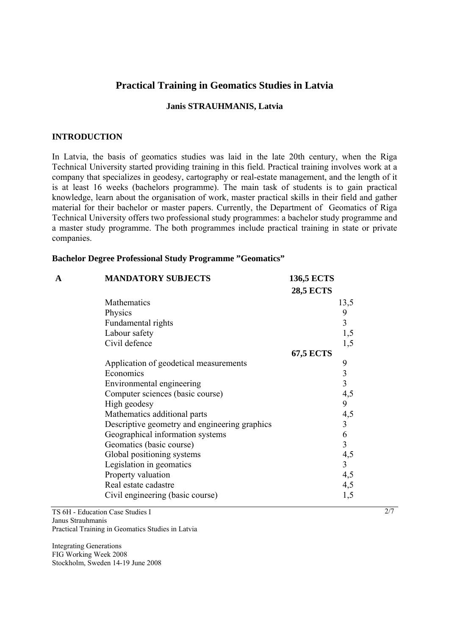## **Practical Training in Geomatics Studies in Latvia**

#### **Janis STRAUHMANIS, Latvia**

#### **INTRODUCTION**

In Latvia, the basis of geomatics studies was laid in the late 20th century, when the Riga Technical University started providing training in this field. Practical training involves work at a company that specializes in geodesy, cartography or real-estate management, and the length of it is at least 16 weeks (bachelors programme). The main task of students is to gain practical knowledge, learn about the organisation of work, master practical skills in their field and gather material for their bachelor or master papers. Currently, the Department of Geomatics of Riga Technical University offers two professional study programmes: a bachelor study programme and a master study programme. The both programmes include practical training in state or private companies.

#### **Bachelor Degree Professional Study Programme "Geomatics"**

| <b>MANDATORY SUBJECTS</b><br>A                | <b>136,5 ECTS</b> |                 |
|-----------------------------------------------|-------------------|-----------------|
|                                               | <b>28,5 ECTS</b>  |                 |
| Mathematics                                   |                   | 13,5            |
| Physics                                       |                   | 9               |
| Fundamental rights                            |                   | $\overline{3}$  |
| Labour safety                                 |                   | 1,5             |
| Civil defence                                 |                   | 1,5             |
|                                               | 67,5 ECTS         |                 |
| Application of geodetical measurements        |                   | 9               |
| Economics                                     |                   |                 |
| Environmental engineering                     |                   | $\frac{3}{3}$   |
| Computer sciences (basic course)              |                   | 4,5             |
| High geodesy                                  |                   | 9               |
| Mathematics additional parts                  |                   | 4,5             |
| Descriptive geometry and engineering graphics |                   | $\overline{3}$  |
| Geographical information systems              |                   | 6               |
| Geomatics (basic course)                      |                   | $\overline{3}$  |
| Global positioning systems                    |                   |                 |
| Legislation in geomatics                      |                   | $\frac{4,5}{3}$ |
| Property valuation                            |                   | 4,5             |
| Real estate cadastre                          |                   | 4,5             |
| Civil engineering (basic course)              |                   | 1,5             |

TS 6H - Education Case Studies I Janus Strauhmanis Practical Training in Geomatics Studies in Latvia

Integrating Generations FIG Working Week 2008 Stockholm, Sweden 14-19 June 2008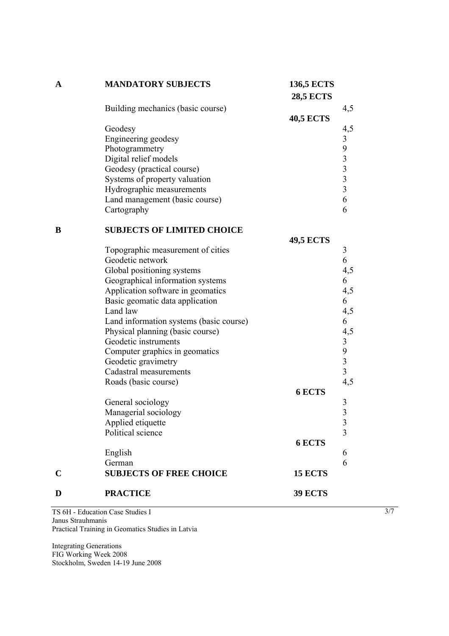| $\mathbf A$ | <b>MANDATORY SUBJECTS</b>               | <b>136,5 ECTS</b><br><b>28,5 ECTS</b> |                             |
|-------------|-----------------------------------------|---------------------------------------|-----------------------------|
|             | Building mechanics (basic course)       | <b>40,5 ECTS</b>                      | 4,5                         |
|             | Geodesy                                 |                                       | 4,5                         |
|             | Engineering geodesy                     |                                       | 393336                      |
|             | Photogrammetry                          |                                       |                             |
|             | Digital relief models                   |                                       |                             |
|             | Geodesy (practical course)              |                                       |                             |
|             | Systems of property valuation           |                                       |                             |
|             | Hydrographic measurements               |                                       |                             |
|             | Land management (basic course)          |                                       |                             |
|             | Cartography                             |                                       | 6                           |
| B           | <b>SUBJECTS OF LIMITED CHOICE</b>       |                                       |                             |
|             |                                         | <b>49,5 ECTS</b>                      |                             |
|             | Topographic measurement of cities       |                                       | 3                           |
|             | Geodetic network                        |                                       | 6                           |
|             | Global positioning systems              |                                       | 4,5                         |
|             | Geographical information systems        |                                       | 6                           |
|             | Application software in geomatics       |                                       | 4,5                         |
|             | Basic geomatic data application         |                                       | 6                           |
|             | Land law                                |                                       | 4,5                         |
|             | Land information systems (basic course) |                                       | 6                           |
|             | Physical planning (basic course)        |                                       | 4,5                         |
|             | Geodetic instruments                    |                                       |                             |
|             | Computer graphics in geomatics          |                                       | $39$<br>$3$<br>$3$<br>$4,5$ |
|             | Geodetic gravimetry                     |                                       |                             |
|             | Cadastral measurements                  |                                       |                             |
|             | Roads (basic course)                    |                                       |                             |
|             |                                         | <b>6 ECTS</b>                         |                             |
|             | General sociology                       |                                       | $\mathfrak{Z}$              |
|             | Managerial sociology                    |                                       | $\overline{3}$              |
|             | Applied etiquette                       |                                       | 3                           |
|             | Political science                       |                                       | $\overline{3}$              |
|             |                                         | <b>6 ECTS</b>                         |                             |
|             | English                                 |                                       | 6                           |
|             | German                                  |                                       | 6                           |
| $\mathbf C$ | <b>SUBJECTS OF FREE CHOICE</b>          | <b>15 ECTS</b>                        |                             |
| D           | <b>PRACTICE</b>                         | <b>39 ECTS</b>                        |                             |
|             |                                         |                                       |                             |

TS 6H - Education Case Studies I Janus Strauhmanis Practical Training in Geomatics Studies in Latvia

Integrating Generations FIG Working Week 2008 Stockholm, Sweden 14-19 June 2008 3/7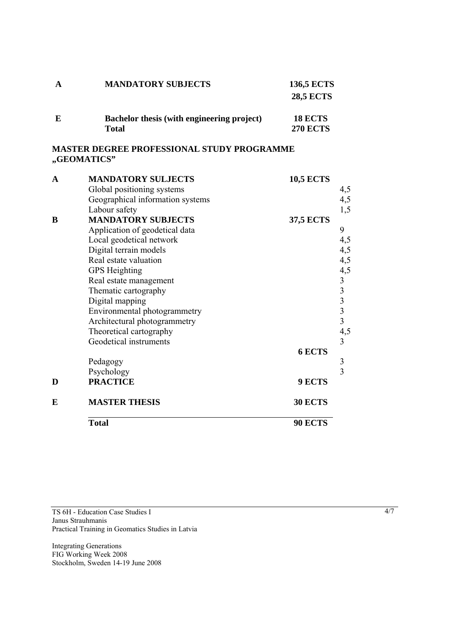| A | <b>MANDATORY SUBJECTS</b>                  | <b>136,5 ECTS</b> |
|---|--------------------------------------------|-------------------|
|   |                                            | <b>28,5 ECTS</b>  |
| E | Bachelor thesis (with engineering project) | <b>18 ECTS</b>    |
|   | Total                                      | <b>270 ECTS</b>   |

## **MASTER DEGREE PROFESSIONAL STUDY PROGRAMME "GEOMATICS"**

| A | <b>MANDATORY SULJECTS</b>        | <b>10,5 ECTS</b> |                                            |
|---|----------------------------------|------------------|--------------------------------------------|
|   | Global positioning systems       |                  | 4,5                                        |
|   | Geographical information systems |                  | 4,5                                        |
|   | Labour safety                    |                  | 1,5                                        |
| B | <b>MANDATORY SUBJECTS</b>        | <b>37,5 ECTS</b> |                                            |
|   | Application of geodetical data   |                  | 9                                          |
|   | Local geodetical network         |                  | 4,5                                        |
|   | Digital terrain models           |                  | 4,5                                        |
|   | Real estate valuation            |                  | 4,5                                        |
|   | <b>GPS</b> Heighting             |                  |                                            |
|   | Real estate management           |                  | $4,5$<br>3<br>3<br>3<br>3<br>3<br>3<br>4,5 |
|   | Thematic cartography             |                  |                                            |
|   | Digital mapping                  |                  |                                            |
|   | Environmental photogrammetry     |                  |                                            |
|   | Architectural photogrammetry     |                  |                                            |
|   | Theoretical cartography          |                  |                                            |
|   | Geodetical instruments           |                  | $\overline{3}$                             |
|   |                                  | <b>6 ECTS</b>    |                                            |
|   | Pedagogy                         |                  | $\mathfrak{Z}$                             |
|   | Psychology                       |                  | $\overline{3}$                             |
| D | <b>PRACTICE</b>                  | 9 ECTS           |                                            |
| E | <b>MASTER THESIS</b>             | 30 ECTS          |                                            |
|   | <b>Total</b>                     | <b>90 ECTS</b>   |                                            |
|   |                                  |                  |                                            |

TS 6H - Education Case Studies I Janus Strauhmanis Practical Training in Geomatics Studies in Latvia

Integrating Generations FIG Working Week 2008 Stockholm, Sweden 14-19 June 2008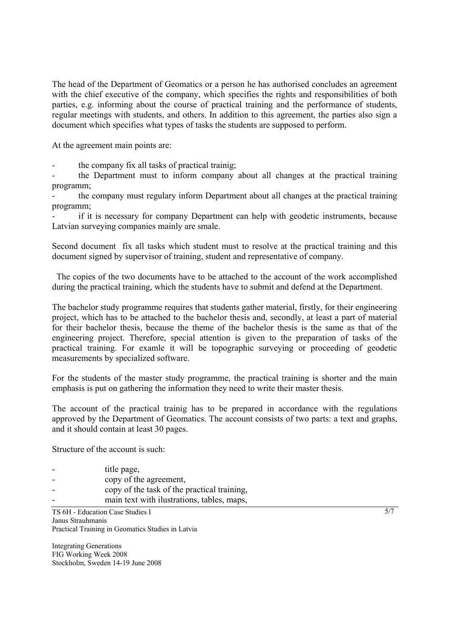The head of the Department of Geomatics or a person he has authorised concludes an agreement with the chief executive of the company, which specifies the rights and responsibilities of both parties, e.g. informing about the course of practical training and the performance of students, regular meetings with students, and others. In addition to this agreement, the parties also sign a document which specifies what types of tasks the students are supposed to perform.

At the agreement main points are:

the company fix all tasks of practical trainig;

the Department must to inform company about all changes at the practical training programm;

- the company must regulary inform Department about all changes at the practical training programm;

if it is necessary for company Department can help with geodetic instruments, because Latvian surveying companies mainly are smale.

Second document fix all tasks which student must to resolve at the practical training and this document signed by supervisor of training, student and representative of company.

 The copies of the two documents have to be attached to the account of the work accomplished during the practical training, which the students have to submit and defend at the Department.

The bachelor study programme requires that students gather material, firstly, for their engineering project, which has to be attached to the bachelor thesis and, secondly, at least a part of material for their bachelor thesis, because the theme of the bachelor thesis is the same as that of the engineering project. Therefore, special attention is given to the preparation of tasks of the practical training. For examle it will be topographic surveying or proceeding of geodetic measurements by specialized software.

For the students of the master study programme, the practical training is shorter and the main emphasis is put on gathering the information they need to write their master thesis.

The account of the practical trainig has to be prepared in accordance with the regulations approved by the Department of Geomatics. The account consists of two parts: a text and graphs, and it should contain at least 30 pages.

Structure of the account is such:

| - | title page,                                 |
|---|---------------------------------------------|
| - | copy of the agreement,                      |
| - | copy of the task of the practical training, |
| - | main text with ilustrations, tables, maps,  |

TS 6H - Education Case Studies I Janus Strauhmanis Practical Training in Geomatics Studies in Latvia

Integrating Generations FIG Working Week 2008 Stockholm, Sweden 14-19 June 2008 5/7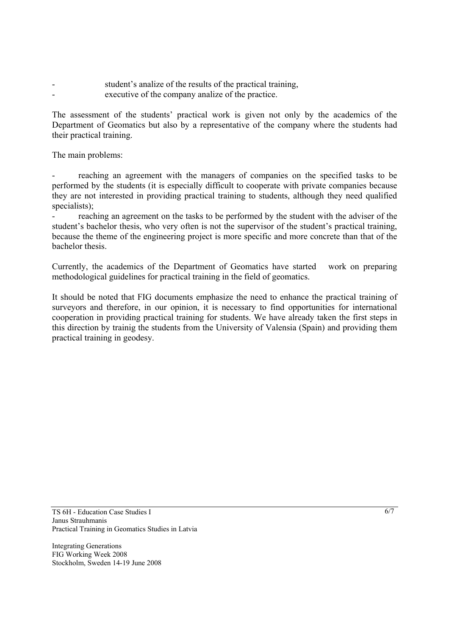- student's analize of the results of the practical training,
- executive of the company analize of the practice.

The assessment of the students' practical work is given not only by the academics of the Department of Geomatics but also by a representative of the company where the students had their practical training.

The main problems:

reaching an agreement with the managers of companies on the specified tasks to be performed by the students (it is especially difficult to cooperate with private companies because they are not interested in providing practical training to students, although they need qualified specialists);

reaching an agreement on the tasks to be performed by the student with the adviser of the student's bachelor thesis, who very often is not the supervisor of the student's practical training, because the theme of the engineering project is more specific and more concrete than that of the bachelor thesis.

Currently, the academics of the Department of Geomatics have started work on preparing methodological guidelines for practical training in the field of geomatics.

It should be noted that FIG documents emphasize the need to enhance the practical training of surveyors and therefore, in our opinion, it is necessary to find opportunities for international cooperation in providing practical training for students. We have already taken the first steps in this direction by trainig the students from the University of Valensia (Spain) and providing them practical training in geodesy.